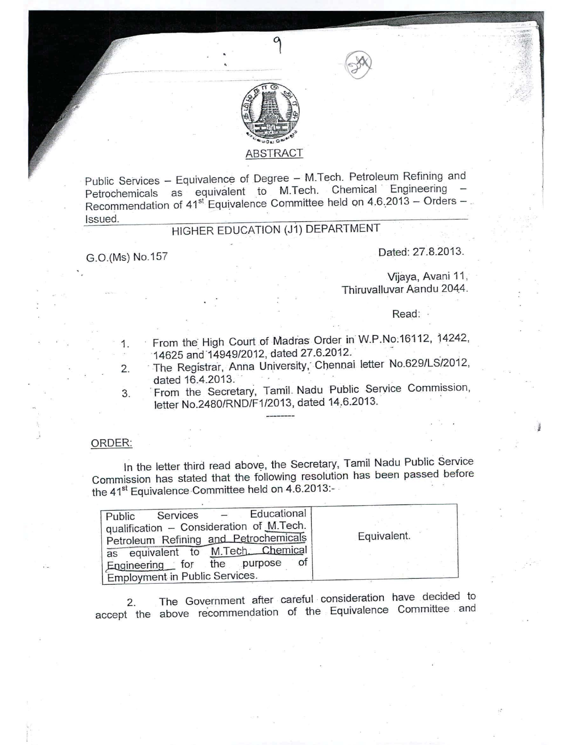

## ABSTRACT

Public Services - Equivalence of Degree - M.Tech. Petroleum Refining and Petrochemicals as equivalent to M.Tech. Chemical Engineering -Recommendation of  $41^{st}$  Equivalence Committee held on  $4.6,2013 -$ Orders -Issued.

## HIGHER EDUCATION (J1) DEPARTMENT

G.O.(Ms) No.157 Dated: 27.8.2013.

Vijaya, Avani 11, Thiruvalluvar Aandu 2044.

Read: .

- 1. From the. High Court of Madias Order inW.P.No:16112, 14242, 14625 and 14949/2012, dated 27.6.2012.
- 2. The Registrar, Anna University, Chennai letter No.629/LS/2012, dated 16.4.2013.
- 3. From the Secretary, Tamil. Nadu Public Service Commission, letter No.2480/RND/F1/2013, dated 14.6.2013.

### ORDER:

In the letter third read above, the Secretary, Tamil Nadu Public Service Commission has stated that the following resolution has been passed before the 41<sup>st</sup> Equivalence Committee held on 4.6.2013:-

| Services - Educational<br>Public         |             |
|------------------------------------------|-------------|
| qualification - Consideration of M.Tech. |             |
| Petroleum Refining and Petrochemicals    | Equivalent. |
| as equivalent to M.Tech. Chemical        |             |
| Engineering for the purpose<br>0t        |             |
| <b>Employment in Public Services.</b>    |             |

2. The Government after careful consideration have decided to accept the above re'commendation of the Equivalence Committee. and